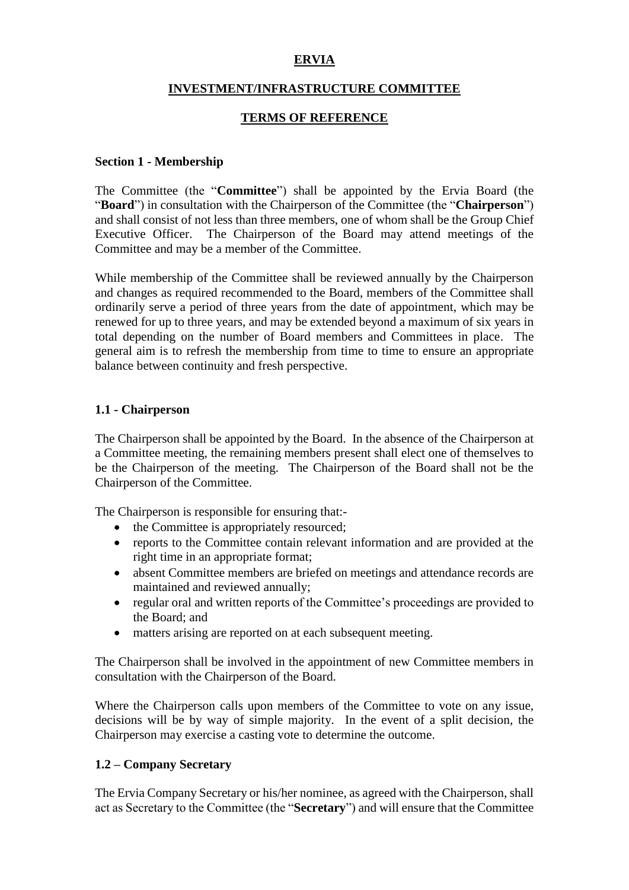# **ERVIA**

### **INVESTMENT/INFRASTRUCTURE COMMITTEE**

## **TERMS OF REFERENCE**

### **Section 1 - Membership**

The Committee (the "**Committee**") shall be appointed by the Ervia Board (the "**Board**") in consultation with the Chairperson of the Committee (the "**Chairperson**") and shall consist of not less than three members, one of whom shall be the Group Chief Executive Officer. The Chairperson of the Board may attend meetings of the Committee and may be a member of the Committee.

While membership of the Committee shall be reviewed annually by the Chairperson and changes as required recommended to the Board, members of the Committee shall ordinarily serve a period of three years from the date of appointment, which may be renewed for up to three years, and may be extended beyond a maximum of six years in total depending on the number of Board members and Committees in place. The general aim is to refresh the membership from time to time to ensure an appropriate balance between continuity and fresh perspective.

# **1.1 - Chairperson**

The Chairperson shall be appointed by the Board. In the absence of the Chairperson at a Committee meeting, the remaining members present shall elect one of themselves to be the Chairperson of the meeting. The Chairperson of the Board shall not be the Chairperson of the Committee.

The Chairperson is responsible for ensuring that:-

- the Committee is appropriately resourced:
- reports to the Committee contain relevant information and are provided at the right time in an appropriate format;
- absent Committee members are briefed on meetings and attendance records are maintained and reviewed annually;
- regular oral and written reports of the Committee's proceedings are provided to the Board; and
- matters arising are reported on at each subsequent meeting.

The Chairperson shall be involved in the appointment of new Committee members in consultation with the Chairperson of the Board.

Where the Chairperson calls upon members of the Committee to vote on any issue, decisions will be by way of simple majority. In the event of a split decision, the Chairperson may exercise a casting vote to determine the outcome.

### **1.2 – Company Secretary**

The Ervia Company Secretary or his/her nominee, as agreed with the Chairperson, shall act as Secretary to the Committee (the "**Secretary**") and will ensure that the Committee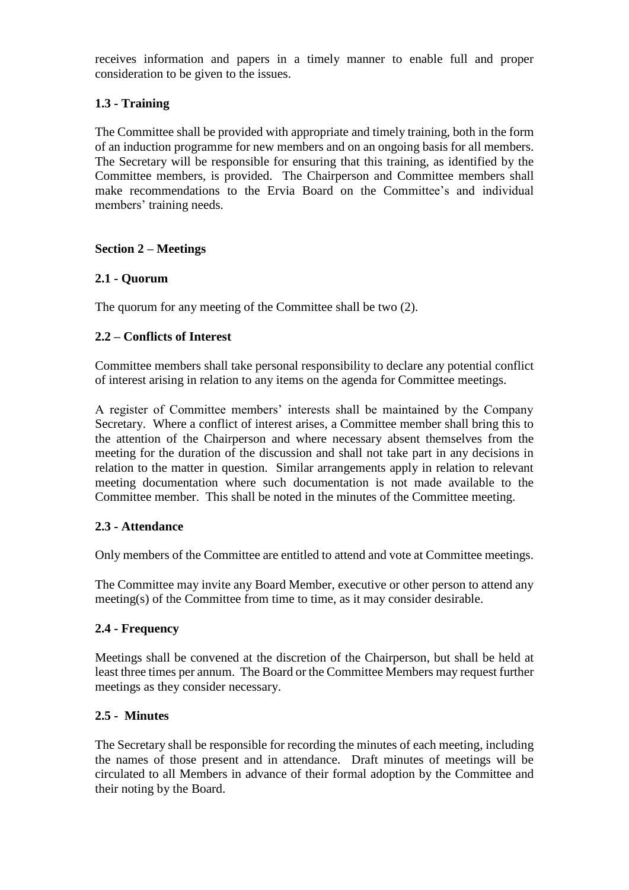receives information and papers in a timely manner to enable full and proper consideration to be given to the issues.

# **1.3 - Training**

The Committee shall be provided with appropriate and timely training, both in the form of an induction programme for new members and on an ongoing basis for all members. The Secretary will be responsible for ensuring that this training, as identified by the Committee members, is provided. The Chairperson and Committee members shall make recommendations to the Ervia Board on the Committee's and individual members' training needs.

## **Section 2 – Meetings**

## **2.1 - Quorum**

The quorum for any meeting of the Committee shall be two (2).

## **2.2 – Conflicts of Interest**

Committee members shall take personal responsibility to declare any potential conflict of interest arising in relation to any items on the agenda for Committee meetings.

A register of Committee members' interests shall be maintained by the Company Secretary. Where a conflict of interest arises, a Committee member shall bring this to the attention of the Chairperson and where necessary absent themselves from the meeting for the duration of the discussion and shall not take part in any decisions in relation to the matter in question. Similar arrangements apply in relation to relevant meeting documentation where such documentation is not made available to the Committee member. This shall be noted in the minutes of the Committee meeting.

### **2.3 - Attendance**

Only members of the Committee are entitled to attend and vote at Committee meetings.

The Committee may invite any Board Member, executive or other person to attend any meeting(s) of the Committee from time to time, as it may consider desirable.

### **2.4 - Frequency**

Meetings shall be convened at the discretion of the Chairperson, but shall be held at least three times per annum. The Board or the Committee Members may request further meetings as they consider necessary.

### **2.5 - Minutes**

The Secretary shall be responsible for recording the minutes of each meeting, including the names of those present and in attendance. Draft minutes of meetings will be circulated to all Members in advance of their formal adoption by the Committee and their noting by the Board.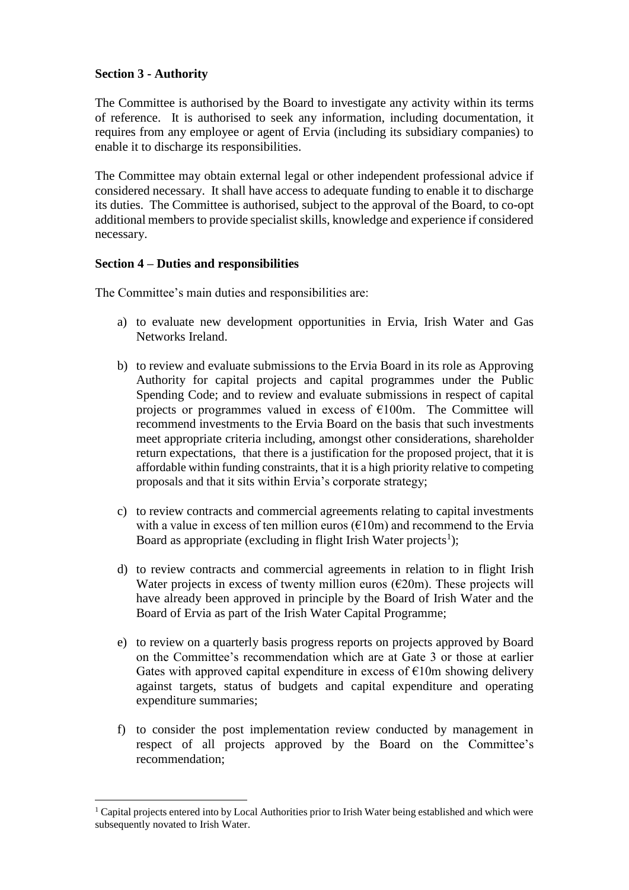# **Section 3 - Authority**

1

The Committee is authorised by the Board to investigate any activity within its terms of reference. It is authorised to seek any information, including documentation, it requires from any employee or agent of Ervia (including its subsidiary companies) to enable it to discharge its responsibilities.

The Committee may obtain external legal or other independent professional advice if considered necessary. It shall have access to adequate funding to enable it to discharge its duties. The Committee is authorised, subject to the approval of the Board, to co-opt additional members to provide specialist skills, knowledge and experience if considered necessary.

### **Section 4 – Duties and responsibilities**

The Committee's main duties and responsibilities are:

- a) to evaluate new development opportunities in Ervia, Irish Water and Gas Networks Ireland.
- b) to review and evaluate submissions to the Ervia Board in its role as Approving Authority for capital projects and capital programmes under the Public Spending Code; and to review and evaluate submissions in respect of capital projects or programmes valued in excess of  $E100m$ . The Committee will recommend investments to the Ervia Board on the basis that such investments meet appropriate criteria including, amongst other considerations, shareholder return expectations, that there is a justification for the proposed project, that it is affordable within funding constraints, that it is a high priority relative to competing proposals and that it sits within Ervia's corporate strategy;
- c) to review contracts and commercial agreements relating to capital investments with a value in excess of ten million euros  $(\text{\textsterling}10m)$  and recommend to the Ervia Board as appropriate (excluding in flight Irish Water projects<sup>1</sup>);
- d) to review contracts and commercial agreements in relation to in flight Irish Water projects in excess of twenty million euros  $(\text{\textsterling}20m)$ . These projects will have already been approved in principle by the Board of Irish Water and the Board of Ervia as part of the Irish Water Capital Programme;
- e) to review on a quarterly basis progress reports on projects approved by Board on the Committee's recommendation which are at Gate 3 or those at earlier Gates with approved capital expenditure in excess of  $E10m$  showing delivery against targets, status of budgets and capital expenditure and operating expenditure summaries;
- f) to consider the post implementation review conducted by management in respect of all projects approved by the Board on the Committee's recommendation;

<sup>&</sup>lt;sup>1</sup> Capital projects entered into by Local Authorities prior to Irish Water being established and which were subsequently novated to Irish Water.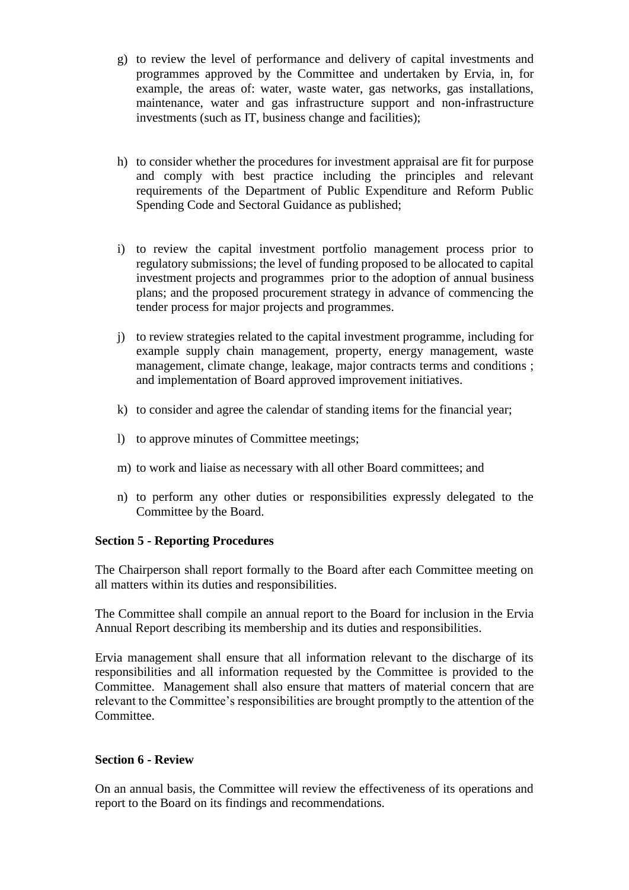- g) to review the level of performance and delivery of capital investments and programmes approved by the Committee and undertaken by Ervia, in, for example, the areas of: water, waste water, gas networks, gas installations, maintenance, water and gas infrastructure support and non-infrastructure investments (such as IT, business change and facilities);
- h) to consider whether the procedures for investment appraisal are fit for purpose and comply with best practice including the principles and relevant requirements of the Department of Public Expenditure and Reform Public Spending Code and Sectoral Guidance as published;
- i) to review the capital investment portfolio management process prior to regulatory submissions; the level of funding proposed to be allocated to capital investment projects and programmes prior to the adoption of annual business plans; and the proposed procurement strategy in advance of commencing the tender process for major projects and programmes.
- j) to review strategies related to the capital investment programme, including for example supply chain management, property, energy management, waste management, climate change, leakage, major contracts terms and conditions ; and implementation of Board approved improvement initiatives.
- k) to consider and agree the calendar of standing items for the financial year;
- l) to approve minutes of Committee meetings;
- m) to work and liaise as necessary with all other Board committees; and
- n) to perform any other duties or responsibilities expressly delegated to the Committee by the Board.

# **Section 5 - Reporting Procedures**

The Chairperson shall report formally to the Board after each Committee meeting on all matters within its duties and responsibilities.

The Committee shall compile an annual report to the Board for inclusion in the Ervia Annual Report describing its membership and its duties and responsibilities.

Ervia management shall ensure that all information relevant to the discharge of its responsibilities and all information requested by the Committee is provided to the Committee. Management shall also ensure that matters of material concern that are relevant to the Committee's responsibilities are brought promptly to the attention of the **Committee** 

### **Section 6 - Review**

On an annual basis, the Committee will review the effectiveness of its operations and report to the Board on its findings and recommendations.